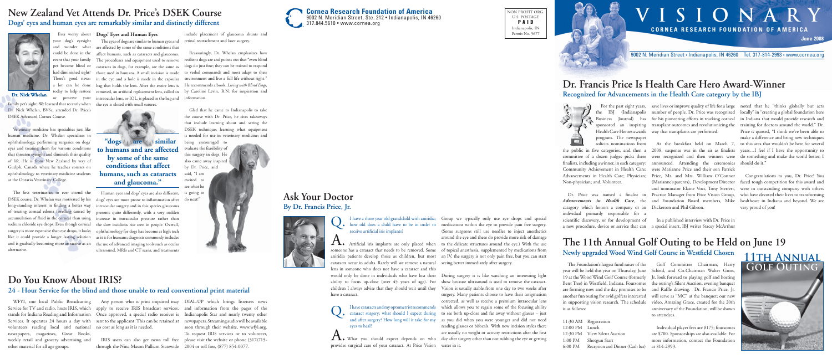

NON PROFIT ORG. U.S. POSTAGE PAID Indianapolis, IN Permit No. 5677

# **VISIONARY CORNEA RESEARCH FOUNDATION OF AMERICA**





| - 10a |
|-------|
| and   |
| hers  |
| ning  |
| e are |

9002 N. Meridian Street • Indianapolis, IN 46260 Tel. 317-814-2993 • www.cornea.org

program. The newspaper solicits nominations from

committee of a dozen judges picks three Advancements in Health Care; Physician; Non-physician; and, Volunteer.

the public in five categories, and then a 2008, suspense was in the air as finalists fi nalists, including a winner, in each category: announced. Attending the ceremonies Community Achievement in Health Care; were Marianne Price and their son Patrick Dr. Price was named a finalist in Practice Manager from Price Vision Group, At the breakfast held on March 7, were recognized and then winners were Price, Mr. and Mrs. William O'Connor (Marianne's parents), Development Director and nominator Elaine Voci, Tony Sterrett,

For the past eight years, save lives or improve quality of life for a large noted that he "thinks globally but acts the IBJ (Indianapolis number of people. Dr. Price was recognized locally" in "creating a global foundation here Business Journal) has for his pioneering efforts in tracking corneal in Indiana that would provide research and sponsored an inspiring transplant outcomes and revolutionizing the training for doctors around the world." Dr. Health Care Heroes awards way that transplants are performed.

*Advancements in Health Care*, the and Foundation Board members, Mike catagory which honors a company or an Dickerson and Phil Gibson. individual primarily responsible for a

scientific discovery, or for development of In a published interview with Dr. Price in a new procedure, device or service that can a special insert, IBJ writer Stacey McArthur

Price is quoted, "I think we've been able to make a difference and bring new techniques to this area that wouldn't be here for several years…I feel if I have the opportunity to do something and make the world better, I should do it.'

I have a three year old grandchild with aniridia; Thave a three year old grandchild with aniridia;<br>
how old does a child have to be in order to receive artificial iris implants?

would only be done in individuals who have lost their During surgery it is like watching an interesting light ability to focus up-close (over 45 years of age). For show because ultrasound is used to remove the cataract. children I always advise that they should wait until they Vision is usually stable from one day to two weeks after cataract surgery; what should I expect during to see both up-close and far away without glasses – just and after surgery? How long will it take for my as you did when you were younger and did not need What you should expect depends on who day after surgery other than not rubbing the eye or getting surgery. Many patients choose to have their astigmatism corrected, as well as receive a premium intraocular lens which allows you to regain some of the focusing ability reading glasses or bifocals. With new incision styles there are usually no weight or activity restrictions after the first

Artificial iris implants are only placed when to the delicate structures around the eye.) With the use someone has a cataract that needs to be removed. Some of topical anesthesia, supplemented by medications from aniridia patients develop those as children, but most an IV, the surgery is not only pain free, but you can start Group we typically only use eye drops and special medications within the eye to provide pain free surgery. (Some surgeons still use needles to inject anesthetics around the eye and these do provide more risk of damage

Congratulations to you, Dr. Price! You faced tough competition for this award were in outstanding company with other who have devoted their lives to transform healthcare in Indiana and beyond. We very proud of you!

family pet's sight. We learned that recently when Dr. Nick Whelan, BVSc, attended Dr. Price's DSEK Advanced Cornea Course.

## **Dr. Francis Price Is Health Care Hero Award-Winner Recognized for Advancements in the Health Care category by the IBJ**



The first veterinarian to ever attend the DSEK course, Dr. Whelan was motivated by his long-standing interest in finding a better way sodium chloride eye drops. Even though corneal surgery is more expensive than eye drops, it looks like it could provide a longer lasting solution and is gradually becoming more attractive as an alternative.

cataracts occur in adults. Rarely will we remove a natural seeing better immediately after surgery. lens in someone who does not have a cataract and this have a cataract.

provides surgical care of your cataract. At Price Vision water in it.

**The 11th Annual Golf Outing to be Held on June 19** Newly upgraded Wood Wind Golf Course in Westfield Chosen

"dogs are to similar **to humans and are affected by some of the same conditions that affect humans, such as cataracts and glaucoma."** 

# **Ask Your Doctor By Dr. Francis Price, Jr.**



your dog's eyesight and wonder what could be done in the pet became blind or had diminished sight? There's good news: a lot can be done today to help restore or preserve your

Dr. Nick Whelan

Veterinary medicine has specialties just like human medicine. Dr. Whelan specializes in ophthalmology, performing surgeries on dogs' eyes and treating them for various conditions that threaten eyesight and diminish their quality of life. He is from New Zealand by way of Guelph, Canada where he teaches courses on ophthalmology to veterinary medicine students at the Ontario Veterinary College.

Ever worry about **Dogs' Eyes and Human Eyes**

I have cataracts and my optometrist recommends eyes to heal? Q.

event that your family The procedures and equipment used to remove The eyes of dogs are similar to human eyes and are affected by some of the same conditions that affect humans, such as cataracts and glaucoma. cataracts in dogs, for example, are the same as those used in humans. A small incision is made in the eye and a hole is made in the capsular bag that holds the lens. After the entire lens is removed, an artificial replacement lens, called an intraocular lens, or IOL, is placed in the bag and the eye is closed with small sutures.



of treating corneal edema (swelling caused by presents quite differently, with a very sudden accumulation of fluid in the cornea) than using increase in intraocular pressure rather than Human eyes and dogs' eyes are also different; dogs' eyes are more prone to inflammation after intraocular surgery and in this species glaucoma the slow insidious rise seen in people. Overall, ophthalmology for dogs has become as high tech as it is for humans; diagnosis commonly includes the use of advanced imaging tools such as ocular ultrasound, MRIs and CT scans, and treatments

include placement of glaucoma shunts and retinal reattachment and laser surgery.

Reassuringly, Dr. Whelan emphasizes how resilient dogs are and points out that "even blind dogs do just fine; they can be trained to respond to verbal commands and most adapt to their environment and live a full life without sight." He recommends a book, *Living with Blind Dogs*, by Caroline Levin, R.N. for inspiration and information.

Glad that he came to Indianapolis to take the course with Dr. Price, he cites takeaways that include learning about and seeing the DSEK technique; learning what equipment is needed for use in veterinary medicine; and

being encouraged to evaluate the feasibility of this surgery in dogs. He also came away inspired by Dr. Price, and said, "I am excited to see what he is going to do next!"



# **New Zealand Vet Attends Dr. Price's DSEK Course Dogs' eyes and human eyes are remarkably similar and distinctly different**



The Foundation's largest fund raiser of the in supporting vision research. The schedule is as follows:

|                | 11:30 AM Registration           |     |
|----------------|---------------------------------|-----|
| 12:00 PM Lunch |                                 |     |
|                | 12:30 PM View Silent Auction    | are |
|                | 1:00 PM Shotgun Start           | m   |
| 6:00 PM        | Reception and Dinner (Cash bar) | at  |
|                |                                 |     |

year will be held this year on Thursday, June Scheid, and Co-Chairman Walter Gross, 19 at the Wood Wind Golf Course (formerly Jr. look forward to playing golf and hosting Bent Tree) in Westfield, Indiana. Foursomes the outing's Silent Auction, evening banquet are forming now and the day promises to be and Raffle drawing. Dr. Francis Price, Jr. another fun outing for avid golfers interested will serve as "MC" at the banquet; our new Golf Committee Chairman, Harry video, Amazing Grace, created for the 20th anniversary of the Foundation, will be shown to attendees.

> Individual player fees are \$175; foursomes are \$700. Sponsorships are also available. For ore information, contact the Foundation at 814-2993.

WFYI, our local Public Broadcasting stands for Indiana Reading and Information volunteers reading local and national no cost as long as it is needed. newspapers, magazines, Great Books, weekly retail and grocery advertising and other material for all age groups.

Service for TV and radio, hosts IRIS, which apply to receive IRIS broadcast services. and information from the pages of the Services. It operates 24 hours a day with sent to the applicant. This can be retained at Once approved, a special radio receiver is

Any person who is print impaired may DIAL-UP which brings listeners news IRIS users can also get news toll free please visit the website or phone (317)715- Indianapolis Star and nearly twenty other newspapers. Streaming audio will be available soon through their website, www.wfyi.org. To request IRIS services or to volunteer,

through the Nina Mason Pulliam Statewide 2004 or toll free, (877) 854-0077.

# **Do You Know About IRIS?**

#### **24 - Hour Service for the blind and those unable to read conventional print material**